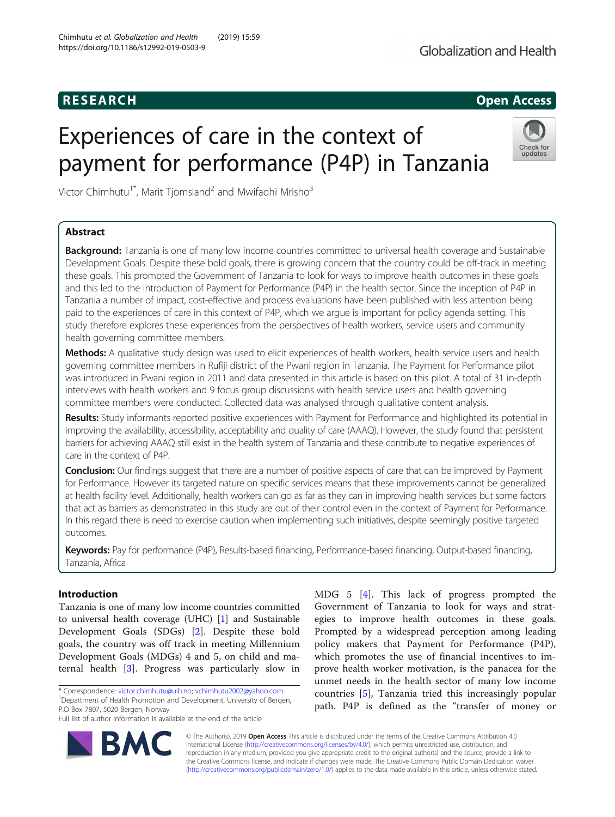# **RESEARCH CHILD CONTROL** CONTROL CONTROL CONTROL CONTROL CONTROL CONTROL CONTROL CONTROL CONTROL CONTROL CONTROL CONTROL CONTROL CONTROL CONTROL CONTROL CONTROL CONTROL CONTROL CONTROL CONTROL CONTROL CONTROL CONTROL CONTR

# Experiences of care in the context of payment for performance (P4P) in Tanzania

Victor Chimhutu<sup>1\*</sup>, Marit Tiomsland<sup>2</sup> and Mwifadhi Mrisho<sup>3</sup>

# Abstract

Background: Tanzania is one of many low income countries committed to universal health coverage and Sustainable Development Goals. Despite these bold goals, there is growing concern that the country could be off-track in meeting these goals. This prompted the Government of Tanzania to look for ways to improve health outcomes in these goals and this led to the introduction of Payment for Performance (P4P) in the health sector. Since the inception of P4P in Tanzania a number of impact, cost-effective and process evaluations have been published with less attention being paid to the experiences of care in this context of P4P, which we argue is important for policy agenda setting. This study therefore explores these experiences from the perspectives of health workers, service users and community health governing committee members.

Methods: A qualitative study design was used to elicit experiences of health workers, health service users and health governing committee members in Rufiji district of the Pwani region in Tanzania. The Payment for Performance pilot was introduced in Pwani region in 2011 and data presented in this article is based on this pilot. A total of 31 in-depth interviews with health workers and 9 focus group discussions with health service users and health governing committee members were conducted. Collected data was analysed through qualitative content analysis.

Results: Study informants reported positive experiences with Payment for Performance and highlighted its potential in improving the availability, accessibility, acceptability and quality of care (AAAQ). However, the study found that persistent barriers for achieving AAAQ still exist in the health system of Tanzania and these contribute to negative experiences of care in the context of P4P.

**Conclusion:** Our findings suggest that there are a number of positive aspects of care that can be improved by Payment for Performance. However its targeted nature on specific services means that these improvements cannot be generalized at health facility level. Additionally, health workers can go as far as they can in improving health services but some factors that act as barriers as demonstrated in this study are out of their control even in the context of Payment for Performance. In this regard there is need to exercise caution when implementing such initiatives, despite seemingly positive targeted outcomes.

Keywords: Pay for performance (P4P), Results-based financing, Performance-based financing, Output-based financing, Tanzania, Africa

# Introduction

Tanzania is one of many low income countries committed to universal health coverage (UHC) [\[1](#page-11-0)] and Sustainable Development Goals (SDGs) [[2](#page-11-0)]. Despite these bold goals, the country was off track in meeting Millennium Development Goals (MDGs) 4 and 5, on child and maternal health [[3\]](#page-11-0). Progress was particularly slow in

\* Correspondence: [victor.chimhutu@uib.no;](mailto:victor.chimhutu@uib.no) [vchimhutu2002@yahoo.com](mailto:vchimhutu2002@yahoo.com) <sup>1</sup> Department of Health Promotion and Development, University of Bergen, P.O Box 7807, 5020 Bergen, Norway

Full list of author information is available at the end of the article

MDG 5 [\[4](#page-11-0)]. This lack of progress prompted the Government of Tanzania to look for ways and strategies to improve health outcomes in these goals. Prompted by a widespread perception among leading policy makers that Payment for Performance (P4P), which promotes the use of financial incentives to improve health worker motivation, is the panacea for the unmet needs in the health sector of many low income countries [\[5](#page-11-0)], Tanzania tried this increasingly popular path. P4P is defined as the "transfer of money or

© The Author(s). 2019 Open Access This article is distributed under the terms of the Creative Commons Attribution 4.0 International License [\(http://creativecommons.org/licenses/by/4.0/](http://creativecommons.org/licenses/by/4.0/)), which permits unrestricted use, distribution, and reproduction in any medium, provided you give appropriate credit to the original author(s) and the source, provide a link to the Creative Commons license, and indicate if changes were made. The Creative Commons Public Domain Dedication waiver [\(http://creativecommons.org/publicdomain/zero/1.0/](http://creativecommons.org/publicdomain/zero/1.0/)) applies to the data made available in this article, unless otherwise stated.



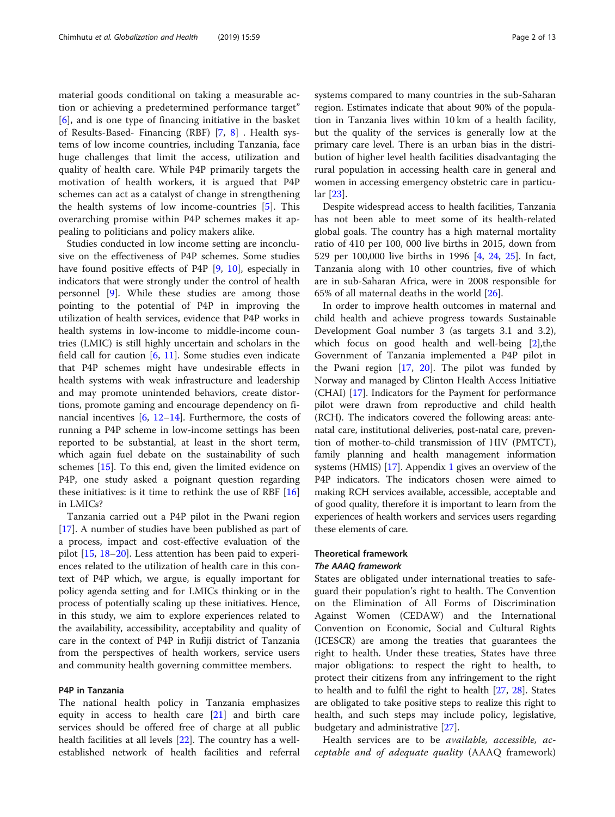material goods conditional on taking a measurable action or achieving a predetermined performance target" [[6\]](#page-11-0), and is one type of financing initiative in the basket of Results-Based- Financing (RBF) [\[7](#page-11-0), [8](#page-11-0)] . Health systems of low income countries, including Tanzania, face huge challenges that limit the access, utilization and quality of health care. While P4P primarily targets the motivation of health workers, it is argued that P4P schemes can act as a catalyst of change in strengthening the health systems of low income-countries [[5\]](#page-11-0). This overarching promise within P4P schemes makes it appealing to politicians and policy makers alike.

Studies conducted in low income setting are inconclusive on the effectiveness of P4P schemes. Some studies have found positive effects of P4P [[9,](#page-11-0) [10](#page-11-0)], especially in indicators that were strongly under the control of health personnel [\[9](#page-11-0)]. While these studies are among those pointing to the potential of P4P in improving the utilization of health services, evidence that P4P works in health systems in low-income to middle-income countries (LMIC) is still highly uncertain and scholars in the field call for caution [\[6](#page-11-0), [11\]](#page-11-0). Some studies even indicate that P4P schemes might have undesirable effects in health systems with weak infrastructure and leadership and may promote unintended behaviors, create distortions, promote gaming and encourage dependency on financial incentives  $[6, 12-14]$  $[6, 12-14]$  $[6, 12-14]$  $[6, 12-14]$  $[6, 12-14]$  $[6, 12-14]$  $[6, 12-14]$ . Furthermore, the costs of running a P4P scheme in low-income settings has been reported to be substantial, at least in the short term, which again fuel debate on the sustainability of such schemes [\[15](#page-11-0)]. To this end, given the limited evidence on P4P, one study asked a poignant question regarding these initiatives: is it time to rethink the use of RBF  $[16]$  $[16]$  $[16]$ in LMICs?

Tanzania carried out a P4P pilot in the Pwani region [[17\]](#page-11-0). A number of studies have been published as part of a process, impact and cost-effective evaluation of the pilot [[15](#page-11-0), [18](#page-11-0)–[20](#page-11-0)]. Less attention has been paid to experiences related to the utilization of health care in this context of P4P which, we argue, is equally important for policy agenda setting and for LMICs thinking or in the process of potentially scaling up these initiatives. Hence, in this study, we aim to explore experiences related to the availability, accessibility, acceptability and quality of care in the context of P4P in Rufiji district of Tanzania from the perspectives of health workers, service users and community health governing committee members.

#### P4P in Tanzania

The national health policy in Tanzania emphasizes equity in access to health care  $[21]$  $[21]$  $[21]$  and birth care services should be offered free of charge at all public health facilities at all levels [[22](#page-11-0)]. The country has a wellestablished network of health facilities and referral systems compared to many countries in the sub-Saharan region. Estimates indicate that about 90% of the population in Tanzania lives within 10 km of a health facility, but the quality of the services is generally low at the primary care level. There is an urban bias in the distribution of higher level health facilities disadvantaging the rural population in accessing health care in general and women in accessing emergency obstetric care in particular [\[23](#page-11-0)].

Despite widespread access to health facilities, Tanzania has not been able to meet some of its health-related global goals. The country has a high maternal mortality ratio of 410 per 100, 000 live births in 2015, down from 529 per 100,000 live births in 1996 [\[4,](#page-11-0) [24](#page-11-0), [25](#page-11-0)]. In fact, Tanzania along with 10 other countries, five of which are in sub-Saharan Africa, were in 2008 responsible for 65% of all maternal deaths in the world [\[26](#page-11-0)].

In order to improve health outcomes in maternal and child health and achieve progress towards Sustainable Development Goal number 3 (as targets 3.1 and 3.2), which focus on good health and well-being [\[2](#page-11-0)],the Government of Tanzania implemented a P4P pilot in the Pwani region  $[17, 20]$  $[17, 20]$  $[17, 20]$  $[17, 20]$  $[17, 20]$ . The pilot was funded by Norway and managed by Clinton Health Access Initiative (CHAI) [[17](#page-11-0)]. Indicators for the Payment for performance pilot were drawn from reproductive and child health (RCH). The indicators covered the following areas: antenatal care, institutional deliveries, post-natal care, prevention of mother-to-child transmission of HIV (PMTCT), family planning and health management information systems (HMIS) [\[17\]](#page-11-0). Appendix [1](#page-11-0) gives an overview of the P4P indicators. The indicators chosen were aimed to making RCH services available, accessible, acceptable and of good quality, therefore it is important to learn from the experiences of health workers and services users regarding these elements of care.

# Theoretical framework The AAAQ framework

States are obligated under international treaties to safeguard their population's right to health. The Convention on the Elimination of All Forms of Discrimination Against Women (CEDAW) and the International Convention on Economic, Social and Cultural Rights (ICESCR) are among the treaties that guarantees the right to health. Under these treaties, States have three major obligations: to respect the right to health, to protect their citizens from any infringement to the right to health and to fulfil the right to health [[27](#page-11-0), [28\]](#page-11-0). States are obligated to take positive steps to realize this right to health, and such steps may include policy, legislative, budgetary and administrative [\[27\]](#page-11-0).

Health services are to be *available*, *accessible*, *ac*ceptable and of adequate quality (AAAQ framework)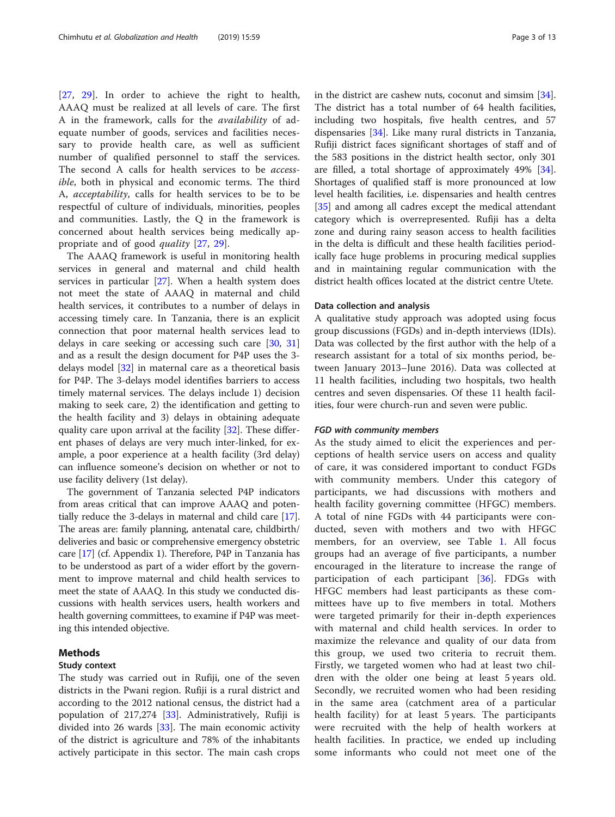[[27,](#page-11-0) [29](#page-11-0)]. In order to achieve the right to health, AAAQ must be realized at all levels of care. The first A in the framework, calls for the availability of adequate number of goods, services and facilities necessary to provide health care, as well as sufficient number of qualified personnel to staff the services. The second A calls for health services to be accessible, both in physical and economic terms. The third A, acceptability, calls for health services to be to be respectful of culture of individuals, minorities, peoples and communities. Lastly, the Q in the framework is concerned about health services being medically appropriate and of good *quality* [[27,](#page-11-0) [29](#page-11-0)].

The AAAQ framework is useful in monitoring health services in general and maternal and child health services in particular [\[27\]](#page-11-0). When a health system does not meet the state of AAAQ in maternal and child health services, it contributes to a number of delays in accessing timely care. In Tanzania, there is an explicit connection that poor maternal health services lead to delays in care seeking or accessing such care [[30,](#page-11-0) [31](#page-11-0)] and as a result the design document for P4P uses the 3 delays model [[32\]](#page-11-0) in maternal care as a theoretical basis for P4P. The 3-delays model identifies barriers to access timely maternal services. The delays include 1) decision making to seek care, 2) the identification and getting to the health facility and 3) delays in obtaining adequate quality care upon arrival at the facility [[32\]](#page-11-0). These different phases of delays are very much inter-linked, for example, a poor experience at a health facility (3rd delay) can influence someone's decision on whether or not to use facility delivery (1st delay).

The government of Tanzania selected P4P indicators from areas critical that can improve AAAQ and potentially reduce the 3-delays in maternal and child care [[17](#page-11-0)]. The areas are: family planning, antenatal care, childbirth/ deliveries and basic or comprehensive emergency obstetric care [\[17\]](#page-11-0) (cf. Appendix 1). Therefore, P4P in Tanzania has to be understood as part of a wider effort by the government to improve maternal and child health services to meet the state of AAAQ. In this study we conducted discussions with health services users, health workers and health governing committees, to examine if P4P was meeting this intended objective.

# Methods

## Study context

The study was carried out in Rufiji, one of the seven districts in the Pwani region. Rufiji is a rural district and according to the 2012 national census, the district had a population of 217,274 [[33](#page-11-0)]. Administratively, Rufiji is divided into 26 wards [[33\]](#page-11-0). The main economic activity of the district is agriculture and 78% of the inhabitants actively participate in this sector. The main cash crops in the district are cashew nuts, coconut and simsim [\[34](#page-12-0)]. The district has a total number of 64 health facilities, including two hospitals, five health centres, and 57 dispensaries [[34\]](#page-12-0). Like many rural districts in Tanzania, Rufiji district faces significant shortages of staff and of the 583 positions in the district health sector, only 301 are filled, a total shortage of approximately 49% [\[34](#page-12-0)]. Shortages of qualified staff is more pronounced at low level health facilities, i.e. dispensaries and health centres [[35\]](#page-12-0) and among all cadres except the medical attendant category which is overrepresented. Rufiji has a delta zone and during rainy season access to health facilities in the delta is difficult and these health facilities periodically face huge problems in procuring medical supplies and in maintaining regular communication with the district health offices located at the district centre Utete.

#### Data collection and analysis

A qualitative study approach was adopted using focus group discussions (FGDs) and in-depth interviews (IDIs). Data was collected by the first author with the help of a research assistant for a total of six months period, between January 2013–June 2016). Data was collected at 11 health facilities, including two hospitals, two health centres and seven dispensaries. Of these 11 health facilities, four were church-run and seven were public.

#### FGD with community members

As the study aimed to elicit the experiences and perceptions of health service users on access and quality of care, it was considered important to conduct FGDs with community members. Under this category of participants, we had discussions with mothers and health facility governing committee (HFGC) members. A total of nine FGDs with 44 participants were conducted, seven with mothers and two with HFGC members, for an overview, see Table [1.](#page-3-0) All focus groups had an average of five participants, a number encouraged in the literature to increase the range of participation of each participant [\[36](#page-12-0)]. FDGs with HFGC members had least participants as these committees have up to five members in total. Mothers were targeted primarily for their in-depth experiences with maternal and child health services. In order to maximize the relevance and quality of our data from this group, we used two criteria to recruit them. Firstly, we targeted women who had at least two children with the older one being at least 5 years old. Secondly, we recruited women who had been residing in the same area (catchment area of a particular health facility) for at least 5 years. The participants were recruited with the help of health workers at health facilities. In practice, we ended up including some informants who could not meet one of the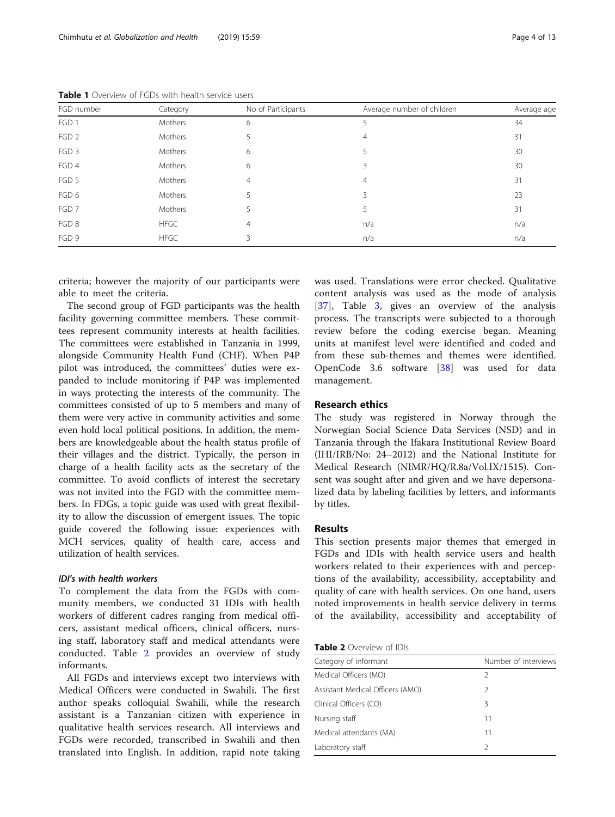| FGD number       | Category    | No of Participants | Average number of children | Average age |
|------------------|-------------|--------------------|----------------------------|-------------|
| FGD 1            | Mothers     | 6                  | 5                          | 34          |
| FGD <sub>2</sub> | Mothers     |                    | 4                          | 31          |
| FGD <sub>3</sub> | Mothers     | 6                  | 5                          | 30          |
| FGD 4            | Mothers     | 6                  | 3                          | 30          |
| FGD 5            | Mothers     | 4                  | 4                          | 31          |
| FGD 6            | Mothers     | 5                  | 3                          | 23          |
| FGD <sub>7</sub> | Mothers     | C.                 | 5                          | 31          |
| FGD 8            | <b>HFGC</b> | 4                  | n/a                        | n/a         |
| FGD 9            | <b>HFGC</b> | 3                  | n/a                        | n/a         |

<span id="page-3-0"></span>Table 1 Overview of FGDs with health service users

criteria; however the majority of our participants were able to meet the criteria.

The second group of FGD participants was the health facility governing committee members. These committees represent community interests at health facilities. The committees were established in Tanzania in 1999, alongside Community Health Fund (CHF). When P4P pilot was introduced, the committees' duties were expanded to include monitoring if P4P was implemented in ways protecting the interests of the community. The committees consisted of up to 5 members and many of them were very active in community activities and some even hold local political positions. In addition, the members are knowledgeable about the health status profile of their villages and the district. Typically, the person in charge of a health facility acts as the secretary of the committee. To avoid conflicts of interest the secretary was not invited into the FGD with the committee members. In FDGs, a topic guide was used with great flexibility to allow the discussion of emergent issues. The topic guide covered the following issue: experiences with MCH services, quality of health care, access and utilization of health services.

#### IDI's with health workers

To complement the data from the FGDs with community members, we conducted 31 IDIs with health workers of different cadres ranging from medical officers, assistant medical officers, clinical officers, nursing staff, laboratory staff and medical attendants were conducted. Table 2 provides an overview of study informants.

All FGDs and interviews except two interviews with Medical Officers were conducted in Swahili. The first author speaks colloquial Swahili, while the research assistant is a Tanzanian citizen with experience in qualitative health services research. All interviews and FGDs were recorded, transcribed in Swahili and then translated into English. In addition, rapid note taking was used. Translations were error checked. Qualitative content analysis was used as the mode of analysis [[37\]](#page-12-0), Table [3,](#page-4-0) gives an overview of the analysis process. The transcripts were subjected to a thorough review before the coding exercise began. Meaning units at manifest level were identified and coded and from these sub-themes and themes were identified. OpenCode 3.6 software [\[38](#page-12-0)] was used for data management.

## Research ethics

The study was registered in Norway through the Norwegian Social Science Data Services (NSD) and in Tanzania through the Ifakara Institutional Review Board (IHI/IRB/No: 24–2012) and the National Institute for Medical Research (NIMR/HQ/R.8a/Vol.IX/1515). Consent was sought after and given and we have depersonalized data by labeling facilities by letters, and informants by titles.

# Results

This section presents major themes that emerged in FGDs and IDIs with health service users and health workers related to their experiences with and perceptions of the availability, accessibility, acceptability and quality of care with health services. On one hand, users noted improvements in health service delivery in terms of the availability, accessibility and acceptability of

| <b>Table 2</b> Overview of IDIs |  |  |  |  |  |
|---------------------------------|--|--|--|--|--|
|---------------------------------|--|--|--|--|--|

| Category of informant            | Number of interviews |
|----------------------------------|----------------------|
| Medical Officers (MO)            | 2                    |
| Assistant Medical Officers (AMO) | 2                    |
| Clinical Officers (CO)           | Β                    |
| Nursing staff                    | 11                   |
| Medical attendants (MA)          | 11                   |
| Laboratory staff                 |                      |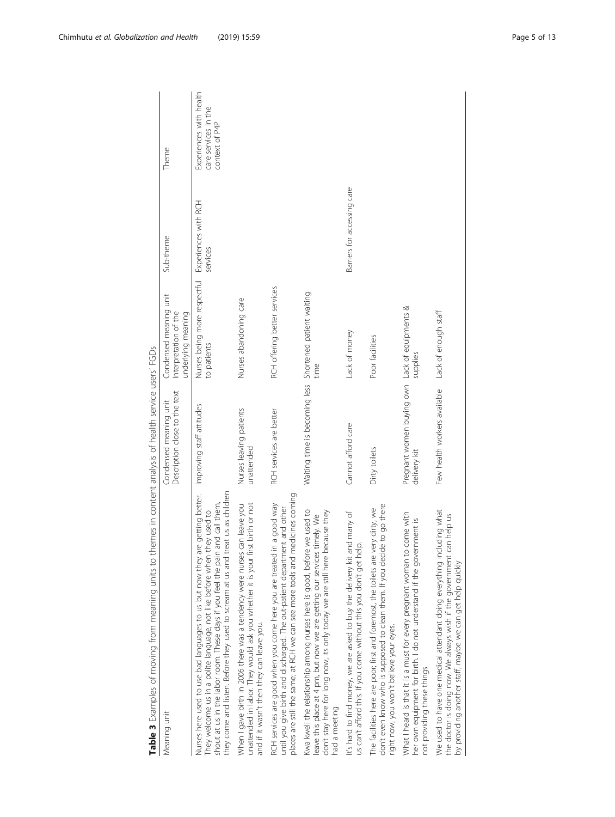<span id="page-4-0"></span>

| Table 3 Examples of moving from meaning units to themes in content analysis of health service users' FGDs                                                                                                                                                                                                                                                       |                                                                |                                                                       |                                  |                                                                   |
|-----------------------------------------------------------------------------------------------------------------------------------------------------------------------------------------------------------------------------------------------------------------------------------------------------------------------------------------------------------------|----------------------------------------------------------------|-----------------------------------------------------------------------|----------------------------------|-------------------------------------------------------------------|
| Meaning unit                                                                                                                                                                                                                                                                                                                                                    | Description close to the text<br>Condensed meaning unit        | Condensed meaning unit<br>Interpretation of the<br>underlying meaning | Sub-theme                        | Theme                                                             |
| Nurses here used to use bad languages to us but now they are getting better. Improving staff attitudes<br>reat us as children<br>and call them,<br>they used to<br>shout at us in the labor room. These days if you feel the pain<br>they come and listen. Before they used to scream at us and t<br>They welcome us in a polite language, not like before when |                                                                | Nurses being more respectful<br>to patients                           | Experiences with RCH<br>services | Experiences with health<br>care services in the<br>context of P4P |
| When I gave birth in 2006 there was a tendency were nurses can leave you<br>unattended in labor. They would ask you whether it is your first birth or not<br>and if it wasn't then they can leave you.                                                                                                                                                          | Nurses leaving patients<br>unattended                          | Nurses abandoning care                                                |                                  |                                                                   |
| places are still the same; at RCH we can see more tools and medicines coming<br>in a good way<br>until you give birth and discharged. The out-patient department and other<br>RCH services are good when you come here you are treated                                                                                                                          | RCH services are better                                        | RCH offering better services                                          |                                  |                                                                   |
| Kwa kweli the relationship among nurses here is good, before we used to<br>because they<br>timely. We<br>leave this place at 4 pm, but now we are getting our services<br>don't stay here for long now, its only today we are still here I<br>had a meeting                                                                                                     | Waiting time is becoming less                                  | Shortened patient waiting<br>time                                     |                                  |                                                                   |
| It's hard to find money, we are asked to buy the delivery kit and many of<br>us can't afford this. If you come without this you don't get help.                                                                                                                                                                                                                 | Cannot afford care                                             | Lack of money                                                         | Barriers for accessing care      |                                                                   |
| don't even know who is supposed to clean them. If you decide to go there<br>very dirty, we<br>The facilities here are poor; first and foremost, the toilets are<br>right now, you won't believe your eyes.                                                                                                                                                      | Dirty toilets                                                  | Poor facilities                                                       |                                  |                                                                   |
| What I heard is that it is a must for every pregnant woman to come with<br>her own equipment for birth. I do not understand if the government is<br>not providing these things                                                                                                                                                                                  | Pregnant women buying own Lack of equipments &<br>delivery kit | supplies                                                              |                                  |                                                                   |
| We used to have one medical attendant doing everything including what<br>can help us<br>the doctor is doing now. We always wish if the government<br>by providing another staff, maybe we can get help quickly                                                                                                                                                  | Few health workers available                                   | Lack of enough staff                                                  |                                  |                                                                   |
|                                                                                                                                                                                                                                                                                                                                                                 |                                                                |                                                                       |                                  |                                                                   |

Table 3 Examples of moving from meaning units to themes in content analysis of health service users' FGDs ה, בכבי  $\frac{1}{2}$  $\frac{1}{2}$  $\mathbf{t}$  $\mathbf r$ Ĵ.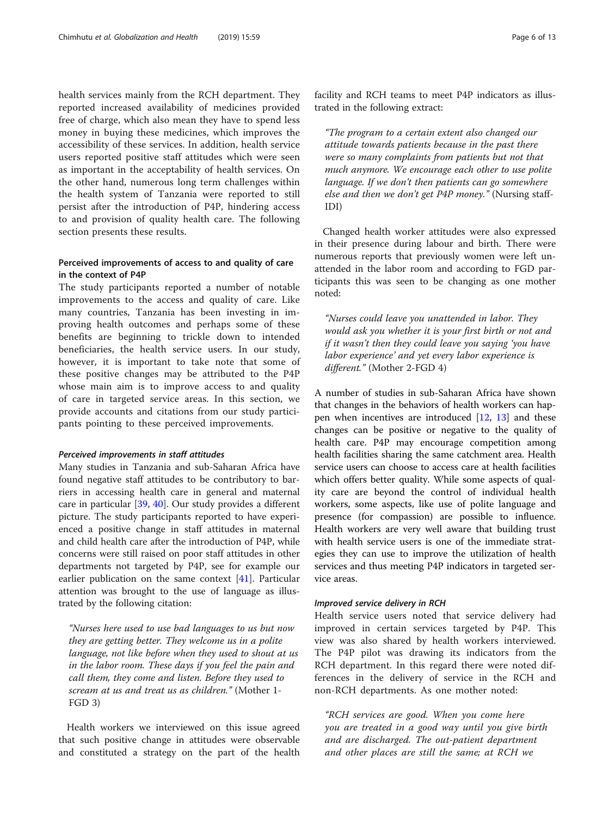health services mainly from the RCH department. They reported increased availability of medicines provided free of charge, which also mean they have to spend less money in buying these medicines, which improves the accessibility of these services. In addition, health service users reported positive staff attitudes which were seen as important in the acceptability of health services. On the other hand, numerous long term challenges within the health system of Tanzania were reported to still persist after the introduction of P4P, hindering access to and provision of quality health care. The following section presents these results.

# Perceived improvements of access to and quality of care in the context of P4P

The study participants reported a number of notable improvements to the access and quality of care. Like many countries, Tanzania has been investing in improving health outcomes and perhaps some of these benefits are beginning to trickle down to intended beneficiaries, the health service users. In our study, however, it is important to take note that some of these positive changes may be attributed to the P4P whose main aim is to improve access to and quality of care in targeted service areas. In this section, we provide accounts and citations from our study participants pointing to these perceived improvements.

#### Perceived improvements in staff attitudes

Many studies in Tanzania and sub-Saharan Africa have found negative staff attitudes to be contributory to barriers in accessing health care in general and maternal care in particular [\[39](#page-12-0), [40](#page-12-0)]. Our study provides a different picture. The study participants reported to have experienced a positive change in staff attitudes in maternal and child health care after the introduction of P4P, while concerns were still raised on poor staff attitudes in other departments not targeted by P4P, see for example our earlier publication on the same context [\[41](#page-12-0)]. Particular attention was brought to the use of language as illustrated by the following citation:

"Nurses here used to use bad languages to us but now they are getting better. They welcome us in a polite language, not like before when they used to shout at us in the labor room. These days if you feel the pain and call them, they come and listen. Before they used to scream at us and treat us as children." (Mother 1- FGD 3)

Health workers we interviewed on this issue agreed that such positive change in attitudes were observable and constituted a strategy on the part of the health

facility and RCH teams to meet P4P indicators as illustrated in the following extract:

"The program to a certain extent also changed our attitude towards patients because in the past there were so many complaints from patients but not that much anymore. We encourage each other to use polite language. If we don't then patients can go somewhere else and then we don't get P4P money." (Nursing staff-IDI)

Changed health worker attitudes were also expressed in their presence during labour and birth. There were numerous reports that previously women were left unattended in the labor room and according to FGD participants this was seen to be changing as one mother noted:

"Nurses could leave you unattended in labor. They would ask you whether it is your first birth or not and if it wasn't then they could leave you saying 'you have labor experience' and yet every labor experience is different." (Mother 2-FGD 4)

A number of studies in sub-Saharan Africa have shown that changes in the behaviors of health workers can happen when incentives are introduced [\[12](#page-11-0), [13\]](#page-11-0) and these changes can be positive or negative to the quality of health care. P4P may encourage competition among health facilities sharing the same catchment area. Health service users can choose to access care at health facilities which offers better quality. While some aspects of quality care are beyond the control of individual health workers, some aspects, like use of polite language and presence (for compassion) are possible to influence. Health workers are very well aware that building trust with health service users is one of the immediate strategies they can use to improve the utilization of health services and thus meeting P4P indicators in targeted service areas.

#### Improved service delivery in RCH

Health service users noted that service delivery had improved in certain services targeted by P4P. This view was also shared by health workers interviewed. The P4P pilot was drawing its indicators from the RCH department. In this regard there were noted differences in the delivery of service in the RCH and non-RCH departments. As one mother noted:

"RCH services are good. When you come here you are treated in a good way until you give birth and are discharged. The out-patient department and other places are still the same; at RCH we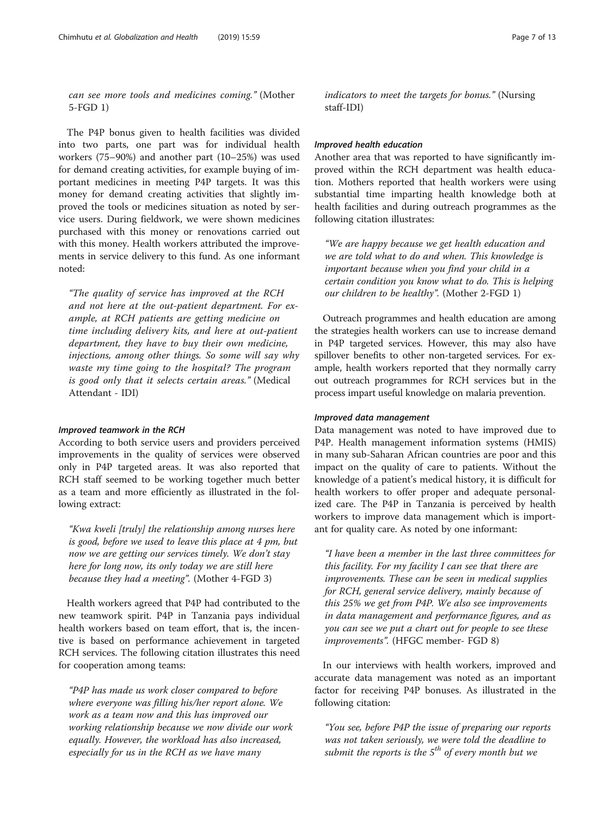can see more tools and medicines coming." (Mother 5-FGD 1)

The P4P bonus given to health facilities was divided into two parts, one part was for individual health workers (75–90%) and another part (10–25%) was used for demand creating activities, for example buying of important medicines in meeting P4P targets. It was this money for demand creating activities that slightly improved the tools or medicines situation as noted by service users. During fieldwork, we were shown medicines purchased with this money or renovations carried out with this money. Health workers attributed the improvements in service delivery to this fund. As one informant noted:

"The quality of service has improved at the RCH and not here at the out-patient department. For example, at RCH patients are getting medicine on time including delivery kits, and here at out-patient department, they have to buy their own medicine, injections, among other things. So some will say why waste my time going to the hospital? The program is good only that it selects certain areas." (Medical Attendant - IDI)

#### Improved teamwork in the RCH

According to both service users and providers perceived improvements in the quality of services were observed only in P4P targeted areas. It was also reported that RCH staff seemed to be working together much better as a team and more efficiently as illustrated in the following extract:

"Kwa kweli [truly] the relationship among nurses here is good, before we used to leave this place at 4 pm, but now we are getting our services timely. We don't stay here for long now, its only today we are still here because they had a meeting". (Mother 4-FGD 3)

Health workers agreed that P4P had contributed to the new teamwork spirit. P4P in Tanzania pays individual health workers based on team effort, that is, the incentive is based on performance achievement in targeted RCH services. The following citation illustrates this need for cooperation among teams:

"P4P has made us work closer compared to before where everyone was filling his/her report alone. We work as a team now and this has improved our working relationship because we now divide our work equally. However, the workload has also increased, especially for us in the RCH as we have many

indicators to meet the targets for bonus." (Nursing staff-IDI)

## Improved health education

Another area that was reported to have significantly improved within the RCH department was health education. Mothers reported that health workers were using substantial time imparting health knowledge both at health facilities and during outreach programmes as the following citation illustrates:

"We are happy because we get health education and we are told what to do and when. This knowledge is important because when you find your child in a certain condition you know what to do. This is helping our children to be healthy". (Mother 2-FGD 1)

Outreach programmes and health education are among the strategies health workers can use to increase demand in P4P targeted services. However, this may also have spillover benefits to other non-targeted services. For example, health workers reported that they normally carry out outreach programmes for RCH services but in the process impart useful knowledge on malaria prevention.

#### Improved data management

Data management was noted to have improved due to P4P. Health management information systems (HMIS) in many sub-Saharan African countries are poor and this impact on the quality of care to patients. Without the knowledge of a patient's medical history, it is difficult for health workers to offer proper and adequate personalized care. The P4P in Tanzania is perceived by health workers to improve data management which is important for quality care. As noted by one informant:

"I have been a member in the last three committees for this facility. For my facility I can see that there are improvements. These can be seen in medical supplies for RCH, general service delivery, mainly because of this 25% we get from P4P. We also see improvements in data management and performance figures, and as you can see we put a chart out for people to see these improvements". (HFGC member- FGD 8)

In our interviews with health workers, improved and accurate data management was noted as an important factor for receiving P4P bonuses. As illustrated in the following citation:

"You see, before P4P the issue of preparing our reports was not taken seriously, we were told the deadline to submit the reports is the  $5<sup>th</sup>$  of every month but we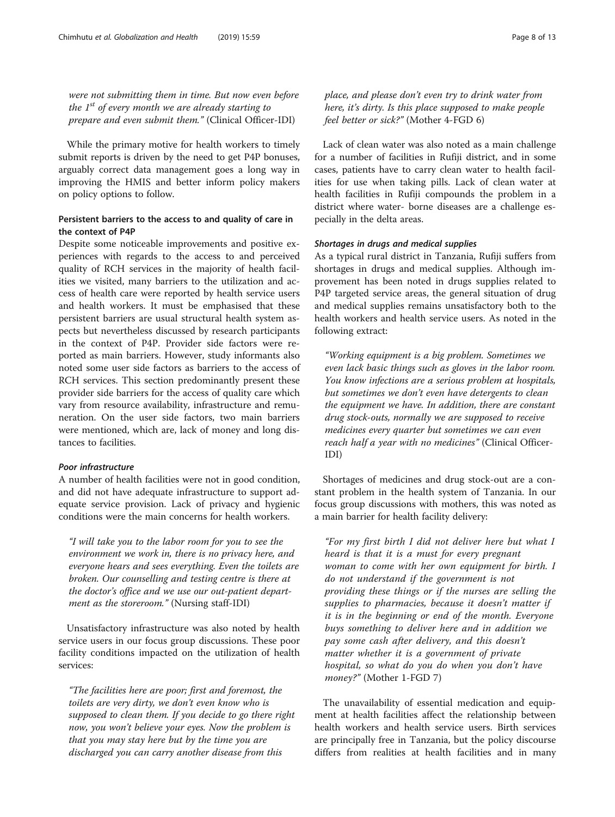were not submitting them in time. But now even before the  $1^{st}$  of every month we are already starting to prepare and even submit them." (Clinical Officer-IDI)

While the primary motive for health workers to timely submit reports is driven by the need to get P4P bonuses, arguably correct data management goes a long way in improving the HMIS and better inform policy makers on policy options to follow.

# Persistent barriers to the access to and quality of care in the context of P4P

Despite some noticeable improvements and positive experiences with regards to the access to and perceived quality of RCH services in the majority of health facilities we visited, many barriers to the utilization and access of health care were reported by health service users and health workers. It must be emphasised that these persistent barriers are usual structural health system aspects but nevertheless discussed by research participants in the context of P4P. Provider side factors were reported as main barriers. However, study informants also noted some user side factors as barriers to the access of RCH services. This section predominantly present these provider side barriers for the access of quality care which vary from resource availability, infrastructure and remuneration. On the user side factors, two main barriers were mentioned, which are, lack of money and long distances to facilities.

# Poor infrastructure

A number of health facilities were not in good condition, and did not have adequate infrastructure to support adequate service provision. Lack of privacy and hygienic conditions were the main concerns for health workers.

"I will take you to the labor room for you to see the environment we work in, there is no privacy here, and everyone hears and sees everything. Even the toilets are broken. Our counselling and testing centre is there at the doctor's office and we use our out-patient department as the storeroom." (Nursing staff-IDI)

Unsatisfactory infrastructure was also noted by health service users in our focus group discussions. These poor facility conditions impacted on the utilization of health services:

"The facilities here are poor; first and foremost, the toilets are very dirty, we don't even know who is supposed to clean them. If you decide to go there right now, you won't believe your eyes. Now the problem is that you may stay here but by the time you are discharged you can carry another disease from this

place, and please don't even try to drink water from here, it's dirty. Is this place supposed to make people feel better or sick?" (Mother 4-FGD 6)

Lack of clean water was also noted as a main challenge for a number of facilities in Rufiji district, and in some cases, patients have to carry clean water to health facilities for use when taking pills. Lack of clean water at health facilities in Rufiji compounds the problem in a district where water- borne diseases are a challenge especially in the delta areas.

#### Shortages in drugs and medical supplies

As a typical rural district in Tanzania, Rufiji suffers from shortages in drugs and medical supplies. Although improvement has been noted in drugs supplies related to P4P targeted service areas, the general situation of drug and medical supplies remains unsatisfactory both to the health workers and health service users. As noted in the following extract:

"Working equipment is a big problem. Sometimes we even lack basic things such as gloves in the labor room. You know infections are a serious problem at hospitals, but sometimes we don't even have detergents to clean the equipment we have. In addition, there are constant drug stock-outs, normally we are supposed to receive medicines every quarter but sometimes we can even reach half a year with no medicines" (Clinical Officer-IDI)

Shortages of medicines and drug stock-out are a constant problem in the health system of Tanzania. In our focus group discussions with mothers, this was noted as a main barrier for health facility delivery:

"For my first birth I did not deliver here but what I heard is that it is a must for every pregnant woman to come with her own equipment for birth. I do not understand if the government is not providing these things or if the nurses are selling the supplies to pharmacies, because it doesn't matter if it is in the beginning or end of the month. Everyone buys something to deliver here and in addition we pay some cash after delivery, and this doesn't matter whether it is a government of private hospital, so what do you do when you don't have money?" (Mother 1-FGD 7)

The unavailability of essential medication and equipment at health facilities affect the relationship between health workers and health service users. Birth services are principally free in Tanzania, but the policy discourse differs from realities at health facilities and in many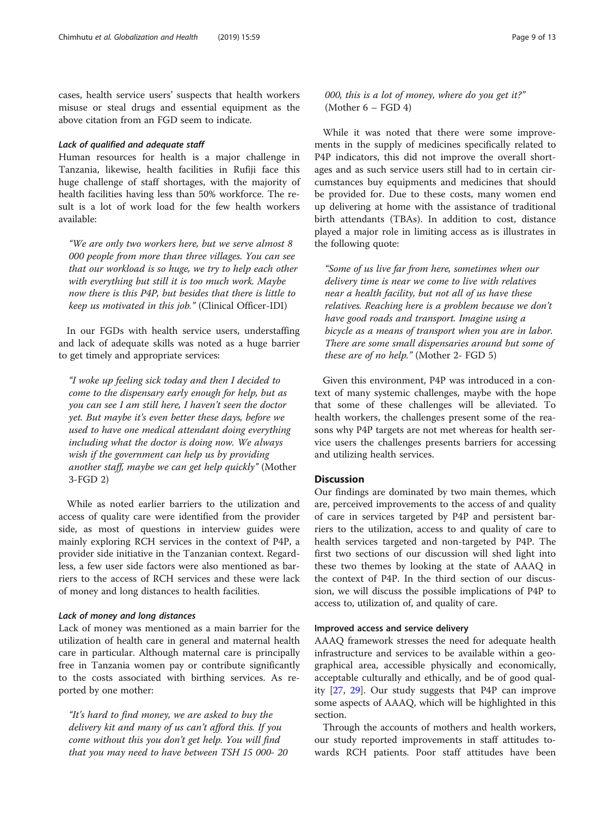cases, health service users' suspects that health workers misuse or steal drugs and essential equipment as the above citation from an FGD seem to indicate.

# Lack of qualified and adequate staff

Human resources for health is a major challenge in Tanzania, likewise, health facilities in Rufiji face this huge challenge of staff shortages, with the majority of health facilities having less than 50% workforce. The result is a lot of work load for the few health workers available:

"We are only two workers here, but we serve almost 8 000 people from more than three villages. You can see that our workload is so huge, we try to help each other with everything but still it is too much work. Maybe now there is this P4P, but besides that there is little to keep us motivated in this job." (Clinical Officer-IDI)

In our FGDs with health service users, understaffing and lack of adequate skills was noted as a huge barrier to get timely and appropriate services:

"I woke up feeling sick today and then I decided to come to the dispensary early enough for help, but as you can see I am still here, I haven't seen the doctor yet. But maybe it's even better these days, before we used to have one medical attendant doing everything including what the doctor is doing now. We always wish if the government can help us by providing another staff, maybe we can get help quickly" (Mother 3-FGD 2)

While as noted earlier barriers to the utilization and access of quality care were identified from the provider side, as most of questions in interview guides were mainly exploring RCH services in the context of P4P, a provider side initiative in the Tanzanian context. Regardless, a few user side factors were also mentioned as barriers to the access of RCH services and these were lack of money and long distances to health facilities.

# Lack of money and long distances

Lack of money was mentioned as a main barrier for the utilization of health care in general and maternal health care in particular. Although maternal care is principally free in Tanzania women pay or contribute significantly to the costs associated with birthing services. As reported by one mother:

"It's hard to find money, we are asked to buy the delivery kit and many of us can't afford this. If you come without this you don't get help. You will find that you may need to have between TSH 15 000- 20 000, this is a lot of money, where do you get it?" (Mother 6 – FGD 4)

While it was noted that there were some improvements in the supply of medicines specifically related to P4P indicators, this did not improve the overall shortages and as such service users still had to in certain circumstances buy equipments and medicines that should be provided for. Due to these costs, many women end up delivering at home with the assistance of traditional birth attendants (TBAs). In addition to cost, distance played a major role in limiting access as is illustrates in the following quote:

"Some of us live far from here, sometimes when our delivery time is near we come to live with relatives near a health facility, but not all of us have these relatives. Reaching here is a problem because we don't have good roads and transport. Imagine using a bicycle as a means of transport when you are in labor. There are some small dispensaries around but some of these are of no help." (Mother 2- FGD 5)

Given this environment, P4P was introduced in a context of many systemic challenges, maybe with the hope that some of these challenges will be alleviated. To health workers, the challenges present some of the reasons why P4P targets are not met whereas for health service users the challenges presents barriers for accessing and utilizing health services.

# **Discussion**

Our findings are dominated by two main themes, which are, perceived improvements to the access of and quality of care in services targeted by P4P and persistent barriers to the utilization, access to and quality of care to health services targeted and non-targeted by P4P. The first two sections of our discussion will shed light into these two themes by looking at the state of AAAQ in the context of P4P. In the third section of our discussion, we will discuss the possible implications of P4P to access to, utilization of, and quality of care.

#### Improved access and service delivery

AAAQ framework stresses the need for adequate health infrastructure and services to be available within a geographical area, accessible physically and economically, acceptable culturally and ethically, and be of good quality [[27](#page-11-0), [29](#page-11-0)]. Our study suggests that P4P can improve some aspects of AAAQ, which will be highlighted in this section.

Through the accounts of mothers and health workers, our study reported improvements in staff attitudes towards RCH patients. Poor staff attitudes have been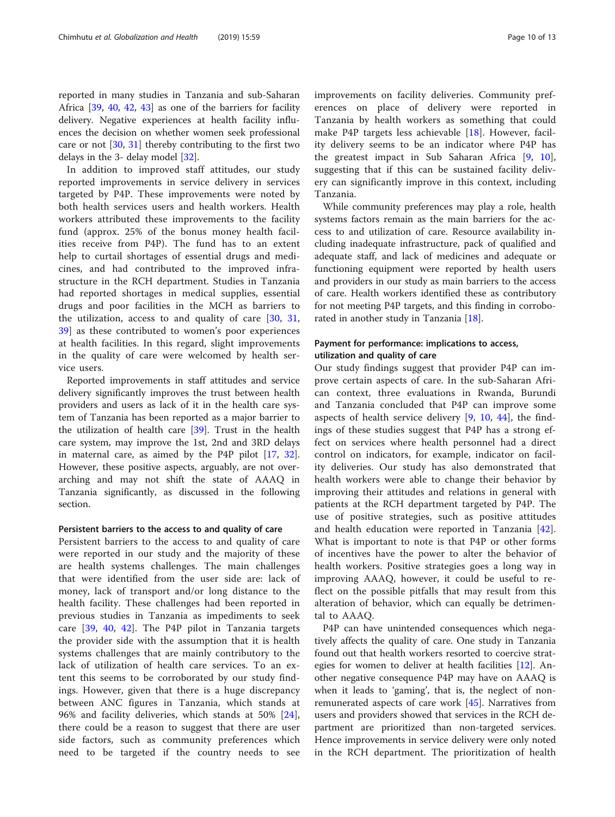reported in many studies in Tanzania and sub-Saharan Africa [[39](#page-12-0), [40](#page-12-0), [42](#page-12-0), [43](#page-12-0)] as one of the barriers for facility delivery. Negative experiences at health facility influences the decision on whether women seek professional care or not [\[30,](#page-11-0) [31](#page-11-0)] thereby contributing to the first two delays in the 3- delay model [[32\]](#page-11-0).

In addition to improved staff attitudes, our study reported improvements in service delivery in services targeted by P4P. These improvements were noted by both health services users and health workers. Health workers attributed these improvements to the facility fund (approx. 25% of the bonus money health facilities receive from P4P). The fund has to an extent help to curtail shortages of essential drugs and medicines, and had contributed to the improved infrastructure in the RCH department. Studies in Tanzania had reported shortages in medical supplies, essential drugs and poor facilities in the MCH as barriers to the utilization, access to and quality of care  $[30, 31, 10]$  $[30, 31, 10]$  $[30, 31, 10]$  $[30, 31, 10]$ [39\]](#page-12-0) as these contributed to women's poor experiences at health facilities. In this regard, slight improvements in the quality of care were welcomed by health service users.

Reported improvements in staff attitudes and service delivery significantly improves the trust between health providers and users as lack of it in the health care system of Tanzania has been reported as a major barrier to the utilization of health care [[39\]](#page-12-0). Trust in the health care system, may improve the 1st, 2nd and 3RD delays in maternal care, as aimed by the P4P pilot [\[17](#page-11-0), [32](#page-11-0)]. However, these positive aspects, arguably, are not overarching and may not shift the state of AAAQ in Tanzania significantly, as discussed in the following section.

## Persistent barriers to the access to and quality of care

Persistent barriers to the access to and quality of care were reported in our study and the majority of these are health systems challenges. The main challenges that were identified from the user side are: lack of money, lack of transport and/or long distance to the health facility. These challenges had been reported in previous studies in Tanzania as impediments to seek care [\[39](#page-12-0), [40,](#page-12-0) [42](#page-12-0)]. The P4P pilot in Tanzania targets the provider side with the assumption that it is health systems challenges that are mainly contributory to the lack of utilization of health care services. To an extent this seems to be corroborated by our study findings. However, given that there is a huge discrepancy between ANC figures in Tanzania, which stands at 96% and facility deliveries, which stands at 50% [\[24](#page-11-0)], there could be a reason to suggest that there are user side factors, such as community preferences which need to be targeted if the country needs to see improvements on facility deliveries. Community preferences on place of delivery were reported in Tanzania by health workers as something that could make P4P targets less achievable [\[18](#page-11-0)]. However, facility delivery seems to be an indicator where P4P has the greatest impact in Sub Saharan Africa [\[9](#page-11-0), [10](#page-11-0)], suggesting that if this can be sustained facility delivery can significantly improve in this context, including Tanzania.

While community preferences may play a role, health systems factors remain as the main barriers for the access to and utilization of care. Resource availability including inadequate infrastructure, pack of qualified and adequate staff, and lack of medicines and adequate or functioning equipment were reported by health users and providers in our study as main barriers to the access of care. Health workers identified these as contributory for not meeting P4P targets, and this finding in corroborated in another study in Tanzania [\[18\]](#page-11-0).

# Payment for performance: implications to access, utilization and quality of care

Our study findings suggest that provider P4P can improve certain aspects of care. In the sub-Saharan African context, three evaluations in Rwanda, Burundi and Tanzania concluded that P4P can improve some aspects of health service delivery [[9,](#page-11-0) [10](#page-11-0), [44](#page-12-0)], the findings of these studies suggest that P4P has a strong effect on services where health personnel had a direct control on indicators, for example, indicator on facility deliveries. Our study has also demonstrated that health workers were able to change their behavior by improving their attitudes and relations in general with patients at the RCH department targeted by P4P. The use of positive strategies, such as positive attitudes and health education were reported in Tanzania [\[42](#page-12-0)]. What is important to note is that P4P or other forms of incentives have the power to alter the behavior of health workers. Positive strategies goes a long way in improving AAAQ, however, it could be useful to reflect on the possible pitfalls that may result from this alteration of behavior, which can equally be detrimental to AAAQ.

P4P can have unintended consequences which negatively affects the quality of care. One study in Tanzania found out that health workers resorted to coercive strategies for women to deliver at health facilities [\[12](#page-11-0)]. Another negative consequence P4P may have on AAAQ is when it leads to 'gaming', that is, the neglect of nonremunerated aspects of care work [[45\]](#page-12-0). Narratives from users and providers showed that services in the RCH department are prioritized than non-targeted services. Hence improvements in service delivery were only noted in the RCH department. The prioritization of health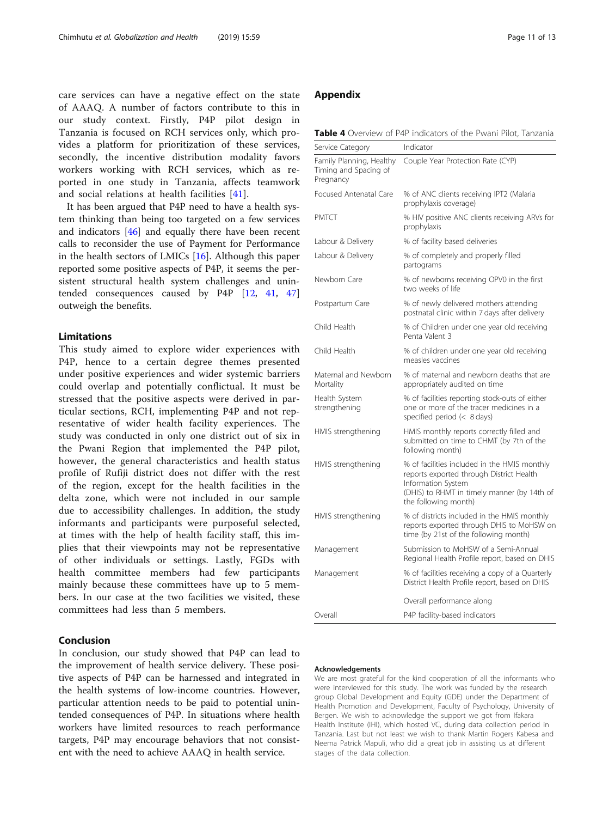care services can have a negative effect on the state of AAAQ. A number of factors contribute to this in our study context. Firstly, P4P pilot design in Tanzania is focused on RCH services only, which provides a platform for prioritization of these services, secondly, the incentive distribution modality favors workers working with RCH services, which as reported in one study in Tanzania, affects teamwork and social relations at health facilities [[41\]](#page-12-0).

It has been argued that P4P need to have a health system thinking than being too targeted on a few services and indicators [[46\]](#page-12-0) and equally there have been recent calls to reconsider the use of Payment for Performance in the health sectors of LMICs [[16](#page-11-0)]. Although this paper reported some positive aspects of P4P, it seems the persistent structural health system challenges and unintended consequences caused by P4P [\[12](#page-11-0), [41](#page-12-0), [47](#page-12-0)] outweigh the benefits.

## Limitations

This study aimed to explore wider experiences with P4P, hence to a certain degree themes presented under positive experiences and wider systemic barriers could overlap and potentially conflictual. It must be stressed that the positive aspects were derived in particular sections, RCH, implementing P4P and not representative of wider health facility experiences. The study was conducted in only one district out of six in the Pwani Region that implemented the P4P pilot, however, the general characteristics and health status profile of Rufiji district does not differ with the rest of the region, except for the health facilities in the delta zone, which were not included in our sample due to accessibility challenges. In addition, the study informants and participants were purposeful selected, at times with the help of health facility staff, this implies that their viewpoints may not be representative of other individuals or settings. Lastly, FGDs with health committee members had few participants mainly because these committees have up to 5 members. In our case at the two facilities we visited, these committees had less than 5 members.

# Conclusion

In conclusion, our study showed that P4P can lead to the improvement of health service delivery. These positive aspects of P4P can be harnessed and integrated in the health systems of low-income countries. However, particular attention needs to be paid to potential unintended consequences of P4P. In situations where health workers have limited resources to reach performance targets, P4P may encourage behaviors that not consistent with the need to achieve AAAQ in health service.

# Appendix

| Table 4 Overview of P4P indicators of the Pwani Pilot, Tanzania |  |  |
|-----------------------------------------------------------------|--|--|
|-----------------------------------------------------------------|--|--|

| Service Category                                               | Indicator                                                                                                                                                                             |
|----------------------------------------------------------------|---------------------------------------------------------------------------------------------------------------------------------------------------------------------------------------|
| Family Planning, Healthy<br>Timing and Spacing of<br>Pregnancy | Couple Year Protection Rate (CYP)                                                                                                                                                     |
| Focused Antenatal Care                                         | % of ANC clients receiving IPT2 (Malaria<br>prophylaxis coverage)                                                                                                                     |
| <b>PMTCT</b>                                                   | % HIV positive ANC clients receiving ARVs for<br>prophylaxis                                                                                                                          |
| Labour & Delivery                                              | % of facility based deliveries                                                                                                                                                        |
| Labour & Delivery                                              | % of completely and properly filled<br>partograms                                                                                                                                     |
| Newborn Care                                                   | % of newborns receiving OPV0 in the first<br>two weeks of life                                                                                                                        |
| Postpartum Care                                                | % of newly delivered mothers attending<br>postnatal clinic within 7 days after delivery                                                                                               |
| Child Health                                                   | % of Children under one year old receiving<br>Penta Valent 3                                                                                                                          |
| Child Health                                                   | % of children under one year old receiving<br>measles vaccines                                                                                                                        |
| Maternal and Newborn<br>Mortality                              | % of maternal and newborn deaths that are<br>appropriately audited on time                                                                                                            |
| Health System<br>strengthening                                 | % of facilities reporting stock-outs of either<br>one or more of the tracer medicines in a<br>specified period $(< 8$ days)                                                           |
| HMIS strengthening                                             | HMIS monthly reports correctly filled and<br>submitted on time to CHMT (by 7th of the<br>following month)                                                                             |
| HMIS strengthening                                             | % of facilities included in the HMIS monthly<br>reports exported through District Health<br>Information System<br>(DHIS) to RHMT in timely manner (by 14th of<br>the following month) |
| HMIS strengthening                                             | % of districts included in the HMIS monthly<br>reports exported through DHIS to MoHSW on<br>time (by 21st of the following month)                                                     |
| Management                                                     | Submission to MoHSW of a Semi-Annual<br>Regional Health Profile report, based on DHIS                                                                                                 |
| Management                                                     | % of facilities receiving a copy of a Quarterly<br>District Health Profile report, based on DHIS                                                                                      |
|                                                                | Overall performance along                                                                                                                                                             |
| Overall                                                        | P4P facility-based indicators                                                                                                                                                         |

#### Acknowledgements

We are most grateful for the kind cooperation of all the informants who were interviewed for this study. The work was funded by the research group Global Development and Equity (GDE) under the Department of Health Promotion and Development, Faculty of Psychology, University of Bergen. We wish to acknowledge the support we got from Ifakara Health Institute (IHI), which hosted VC, during data collection period in Tanzania. Last but not least we wish to thank Martin Rogers Kabesa and Neema Patrick Mapuli, who did a great job in assisting us at different stages of the data collection.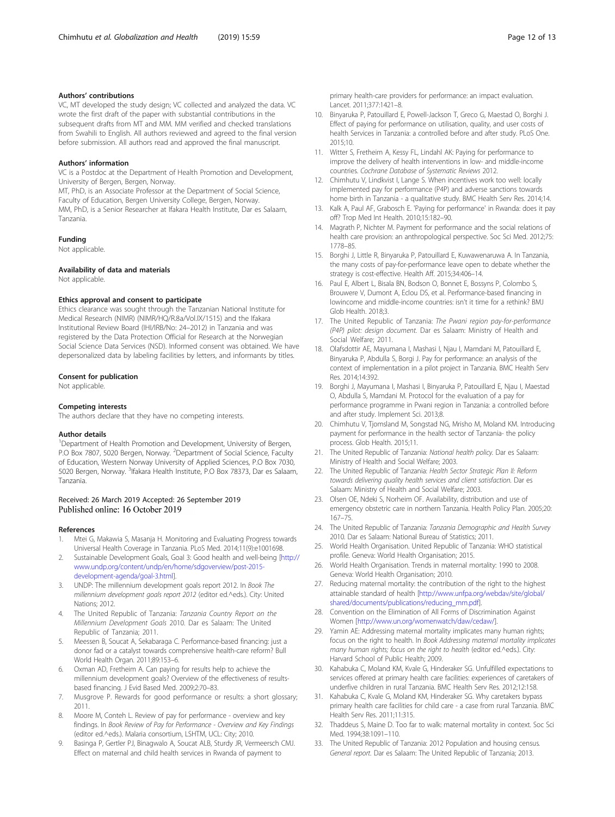#### <span id="page-11-0"></span>Authors' contributions

VC, MT developed the study design; VC collected and analyzed the data. VC wrote the first draft of the paper with substantial contributions in the subsequent drafts from MT and MM. MM verified and checked translations from Swahili to English. All authors reviewed and agreed to the final version before submission. All authors read and approved the final manuscript.

#### Authors' information

VC is a Postdoc at the Department of Health Promotion and Development, University of Bergen, Bergen, Norway.

MT, PhD, is an Associate Professor at the Department of Social Science, Faculty of Education, Bergen University College, Bergen, Norway. MM, PhD, is a Senior Researcher at Ifakara Health Institute, Dar es Salaam, Tanzania.

#### Funding

Not applicable.

#### Availability of data and materials

Not applicable.

#### Ethics approval and consent to participate

Ethics clearance was sought through the Tanzanian National Institute for Medical Research (NIMR) (NIMR/HQ/R.8a/Vol.IX/1515) and the Ifakara Institutional Review Board (IHI/IRB/No: 24–2012) in Tanzania and was registered by the Data Protection Official for Research at the Norwegian Social Science Data Services (NSD). Informed consent was obtained. We have depersonalized data by labeling facilities by letters, and informants by titles.

#### Consent for publication

Not applicable.

#### Competing interests

The authors declare that they have no competing interests.

#### Author details

<sup>1</sup>Department of Health Promotion and Development, University of Bergen, P.O Box 7807, 5020 Bergen, Norway. <sup>2</sup>Department of Social Science, Faculty of Education, Western Norway University of Applied Sciences, P.O Box 7030, 5020 Bergen, Norway. <sup>3</sup>lfakara Health Institute, P.O Box 78373, Dar es Salaam, Tanzania.

#### Received: 26 March 2019 Accepted: 26 September 2019 Published online: 16 October 2019

#### References

- Mtei G, Makawia S, Masanja H. Monitoring and Evaluating Progress towards Universal Health Coverage in Tanzania. PLoS Med. 2014;11(9):e1001698.
- 2. Sustainable Development Goals, Goal 3: Good health and well-being [\[http://](http://www.undp.org/content/undp/en/home/sdgoverview/post-2015-development-agenda/goal-3.html) [www.undp.org/content/undp/en/home/sdgoverview/post-2015](http://www.undp.org/content/undp/en/home/sdgoverview/post-2015-development-agenda/goal-3.html) [development-agenda/goal-3.html\]](http://www.undp.org/content/undp/en/home/sdgoverview/post-2015-development-agenda/goal-3.html).
- UNDP: The millennium development goals report 2012. In Book The millennium development goals report 2012 (editor ed.^eds.). City: United Nations; 2012.
- 4. The United Republic of Tanzania: Tanzania Country Report on the Millennium Development Goals 2010. Dar es Salaam: The United Republic of Tanzania; 2011.
- Meessen B, Soucat A, Sekabaraga C. Performance-based financing: just a donor fad or a catalyst towards comprehensive health-care reform? Bull World Health Organ. 2011;89:153–6.
- 6. Oxman AD, Fretheim A. Can paying for results help to achieve the millennium development goals? Overview of the effectiveness of resultsbased financing. J Evid Based Med. 2009;2:70–83.
- 7. Musgrove P. Rewards for good performance or results: a short glossary; 2011.
- Moore M, Conteh L. Review of pay for performance overview and key findings. In Book Review of Pay for Performance - Overview and Key Findings (editor ed.^eds.). Malaria consortium, LSHTM, UCL: City; 2010.
- Basinga P, Gertler PJ, Binagwalo A, Soucat ALB, Sturdy JR, Vermeersch CMJ. Effect on maternal and child health services in Rwanda of payment to

primary health-care providers for performance: an impact evaluation. Lancet. 2011;377:1421–8.

- 10. Binyaruka P, Patouillard E, Powell-Jackson T, Greco G, Maestad O, Borghi J. Effect of paying for performance on utilisation, quality, and user costs of health Services in Tanzania: a controlled before and after study. PLoS One. 2015;10.
- 11. Witter S, Fretheim A, Kessy FL, Lindahl AK: Paying for performance to improve the delivery of health interventions in low- and middle-income countries. Cochrane Database of Systematic Reviews 2012.
- 12. Chimhutu V, Lindkvist I, Lange S. When incentives work too well: locally implemented pay for performance (P4P) and adverse sanctions towards home birth in Tanzania - a qualitative study. BMC Health Serv Res. 2014;14.
- 13. Kalk A, Paul AF, Grabosch E. 'Paying for performance' in Rwanda: does it pay off? Trop Med Int Health. 2010;15:182–90.
- 14. Magrath P, Nichter M. Payment for performance and the social relations of health care provision: an anthropological perspective. Soc Sci Med. 2012;75: 1778–85.
- 15. Borghi J, Little R, Binyaruka P, Patouillard E, Kuwawenaruwa A. In Tanzania, the many costs of pay-for-performance leave open to debate whether the strategy is cost-effective. Health Aff. 2015;34:406–14.
- 16. Paul E, Albert L, Bisala BN, Bodson O, Bonnet E, Bossyns P, Colombo S, Brouwere V, Dumont A, Eclou DS, et al. Performance-based financing in lowincome and middle-income countries: isn't it time for a rethink? BMJ Glob Health. 2018;3.
- 17. The United Republic of Tanzania: The Pwani region pay-for-performance (P4P) pilot: design document. Dar es Salaam: Ministry of Health and Social Welfare; 2011.
- 18. Olafsdottir AE, Mayumana I, Mashasi I, Njau I, Mamdani M, Patouillard E, Binyaruka P, Abdulla S, Borgi J. Pay for performance: an analysis of the context of implementation in a pilot project in Tanzania. BMC Health Serv Res. 2014;14:392.
- 19. Borghi J, Mayumana I, Mashasi I, Binyaruka P, Patouillard E, Njau I, Maestad O, Abdulla S, Mamdani M. Protocol for the evaluation of a pay for performance programme in Pwani region in Tanzania: a controlled before and after study. Implement Sci. 2013;8.
- 20. Chimhutu V, Tjomsland M, Songstad NG, Mrisho M, Moland KM. Introducing payment for performance in the health sector of Tanzania- the policy process. Glob Health. 2015;11.
- 21. The United Republic of Tanzania: National health policy. Dar es Salaam: Ministry of Health and Social Welfare; 2003.
- 22. The United Republic of Tanzania: Health Sector Strategic Plan II: Reform towards delivering quality health services and client satisfaction. Dar es Salaam: Ministry of Health and Social Welfare; 2003.
- 23. Olsen OE, Ndeki S, Norheim OF. Availability, distribution and use of emergency obstetric care in northern Tanzania. Health Policy Plan. 2005;20: 167–75.
- 24. The United Republic of Tanzania: Tanzania Demographic and Health Survey 2010. Dar es Salaam: National Bureau of Statistics; 2011.
- 25. World Health Organisation. United Republic of Tanzania: WHO statistical profile. Geneva: World Health Organisation; 2015.
- 26. World Health Organisation. Trends in maternal mortality: 1990 to 2008. Geneva: World Health Organisation; 2010.
- 27. Reducing maternal mortality: the contribution of the right to the highest attainable standard of health [\[http://www.unfpa.org/webdav/site/global/](http://www.unfpa.org/webdav/site/global/shared/documents/publications/reducing_mm.pdf) [shared/documents/publications/reducing\\_mm.pdf\]](http://www.unfpa.org/webdav/site/global/shared/documents/publications/reducing_mm.pdf).
- 28. Convention on the Elimination of All Forms of Discrimination Against Women [\[http://www.un.org/womenwatch/daw/cedaw/](http://www.un.org/womenwatch/daw/cedaw/)].
- 29. Yamin AE: Addressing maternal mortality implicates many human rights; focus on the right to health. In Book Addressing maternal mortality implicates many human rights; focus on the right to health (editor ed.^eds.). City: Harvard School of Public Health; 2009.
- 30. Kahabuka C, Moland KM, Kvale G, Hinderaker SG. Unfulfilled expectations to services offered at primary health care facilities: experiences of caretakers of underfive children in rural Tanzania. BMC Health Serv Res. 2012;12:158.
- 31. Kahabuka C, Kvale G, Moland KM, Hinderaker SG. Why caretakers bypass primary health care facilities for child care - a case from rural Tanzania. BMC Health Serv Res. 2011;11:315.
- 32. Thaddeus S, Maine D. Too far to walk: maternal mortality in context. Soc Sci Med. 1994;38:1091–110.
- 33. The United Republic of Tanzania: 2012 Population and housing census. General report. Dar es Salaam: The United Republic of Tanzania; 2013.